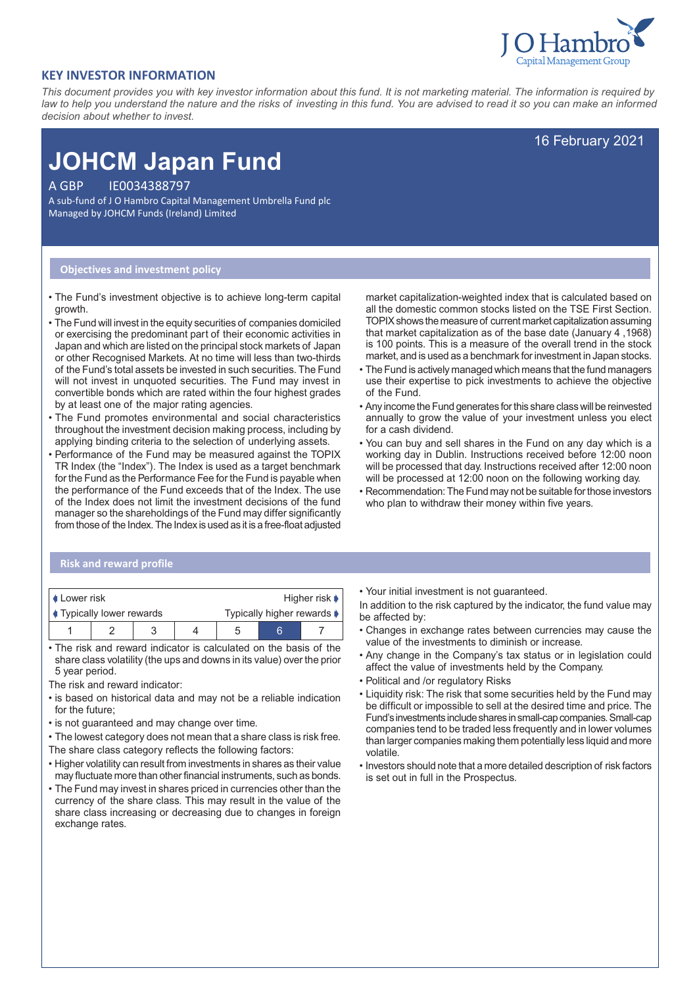

16 February 2021

## **KEY INVESTOR INFORMATION**

*This document provides you with key investor information about this fund. It is not marketing material. The information is required by law to help you understand the nature and the risks of investing in this fund. You are advised to read it so you can make an informed decision about whether to invest.*

# **JOHCM Japan Fund**

A GBP IE0034388797

A sub-fund of J O Hambro Capital Management Umbrella Fund plc Managed by JOHCM Funds (Ireland) Limited

#### **Objectives and investment policy**

- The Fund's investment objective is to achieve long-term capital growth.
- The Fund will invest in the equity securities of companies domiciled or exercising the predominant part of their economic activities in Japan and which are listed on the principal stock markets of Japan or other Recognised Markets. At no time will less than two-thirds of the Fund's total assets be invested in such securities. The Fund will not invest in unquoted securities. The Fund may invest in convertible bonds which are rated within the four highest grades by at least one of the major rating agencies.
- The Fund promotes environmental and social characteristics throughout the investment decision making process, including by applying binding criteria to the selection of underlying assets.
- Performance of the Fund may be measured against the TOPIX TR Index (the "Index"). The Index is used as a target benchmark for the Fund as the Performance Fee for the Fund is payable when the performance of the Fund exceeds that of the Index. The use of the Index does not limit the investment decisions of the fund manager so the shareholdings of the Fund may differ significantly from those of the Index. The Index is used as it is a free-float adjusted

market capitalization-weighted index that is calculated based on all the domestic common stocks listed on the TSE First Section. TOPIX shows the measure of current market capitalization assuming that market capitalization as of the base date (January 4 ,1968) is 100 points. This is a measure of the overall trend in the stock market, and is used as a benchmark for investment in Japan stocks.

- The Fund is actively managed which means that the fund managers use their expertise to pick investments to achieve the objective of the Fund.
- Any income the Fund generates for this share class will be reinvested annually to grow the value of your investment unless you elect for a cash dividend.
- You can buy and sell shares in the Fund on any day which is a working day in Dublin. Instructions received before 12:00 noon will be processed that day. Instructions received after 12:00 noon will be processed at 12:00 noon on the following working day.
- Recommendation: The Fund may not be suitable for those investors who plan to withdraw their money within five years.

## **Risk and reward profile**

| <b>↓ Lower risk</b>            |  |  |  | Higher risk $\blacktriangleright$ |  |  |
|--------------------------------|--|--|--|-----------------------------------|--|--|
| <b>Typically lower rewards</b> |  |  |  | Typically higher rewards ▶        |  |  |
|                                |  |  |  |                                   |  |  |

• The risk and reward indicator is calculated on the basis of the share class volatility (the ups and downs in its value) over the prior 5 year period.

The risk and reward indicator:

- is based on historical data and may not be a reliable indication for the future;
- is not guaranteed and may change over time.
- The lowest category does not mean that a share class is risk free.
- The share class category reflects the following factors:
- Higher volatility can result from investments in shares as their value may fluctuate more than other financial instruments, such as bonds.
- The Fund may invest in shares priced in currencies other than the currency of the share class. This may result in the value of the share class increasing or decreasing due to changes in foreign exchange rates.

• Your initial investment is not guaranteed.

In addition to the risk captured by the indicator, the fund value may be affected by:

- Changes in exchange rates between currencies may cause the value of the investments to diminish or increase.
- Any change in the Company's tax status or in legislation could affect the value of investments held by the Company.
- Political and /or regulatory Risks
- Liquidity risk: The risk that some securities held by the Fund may be difficult or impossible to sell at the desired time and price. The Fund's investments include shares in small-cap companies. Small-cap companies tend to be traded less frequently and in lower volumes than larger companies making them potentially less liquid and more volatile.
- Investors should note that a more detailed description of risk factors is set out in full in the Prospectus.